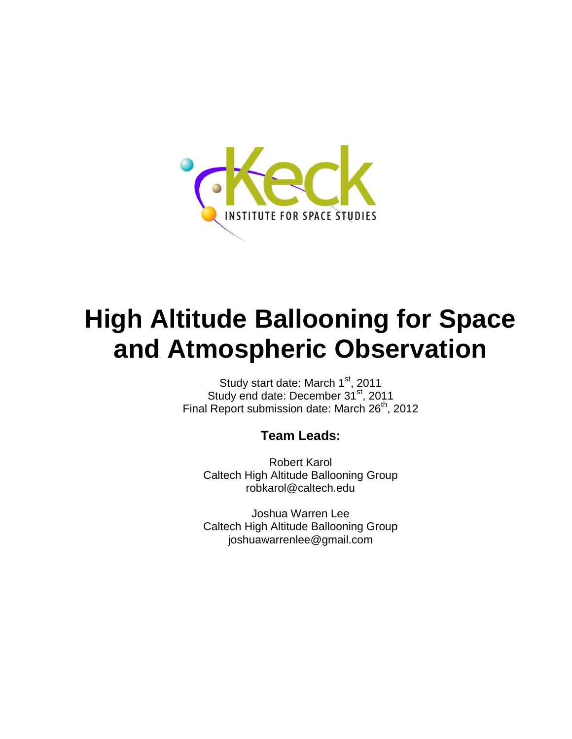

# **High Altitude Ballooning for Space and Atmospheric Observation**

Study start date: March 1st, 2011 Study end date: December 31<sup>st</sup>, 2011 Final Report submission date: March 26<sup>th</sup>, 2012

## **Team Leads:**

Robert Karol Caltech High Altitude Ballooning Group robkarol@caltech.edu

Joshua Warren Lee Caltech High Altitude Ballooning Group joshuawarrenlee@gmail.com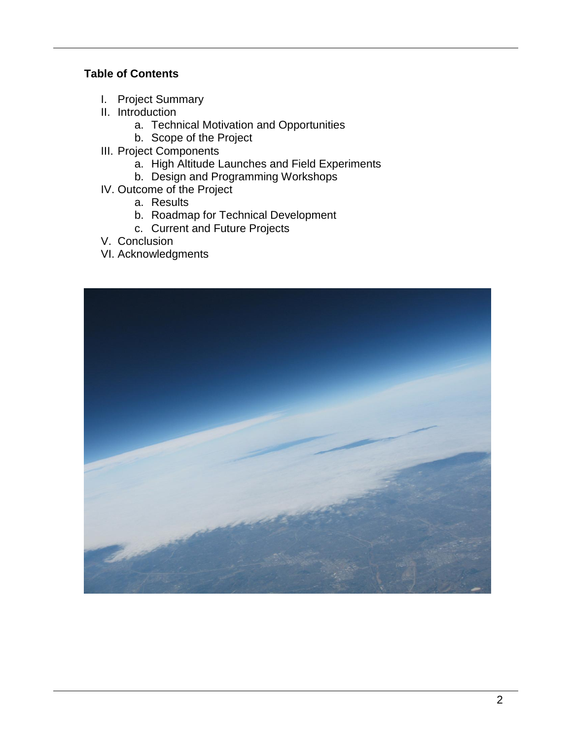#### **Table of Contents**

- I. Project Summary
- II. Introduction
	- a. Technical Motivation and Opportunities
	- b. Scope of the Project
- III. Project Components
	- a. High Altitude Launches and Field Experiments
	- b. Design and Programming Workshops
- IV. Outcome of the Project
	- a. Results
	- b. Roadmap for Technical Development
	- c. Current and Future Projects
- V. Conclusion
- VI. Acknowledgments

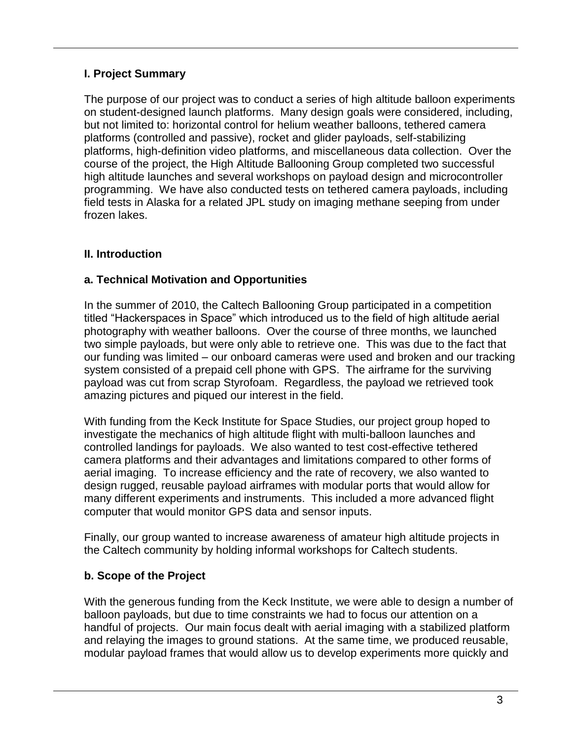#### **I. Project Summary**

The purpose of our project was to conduct a series of high altitude balloon experiments on student-designed launch platforms. Many design goals were considered, including, but not limited to: horizontal control for helium weather balloons, tethered camera platforms (controlled and passive), rocket and glider payloads, self-stabilizing platforms, high-definition video platforms, and miscellaneous data collection. Over the course of the project, the High Altitude Ballooning Group completed two successful high altitude launches and several workshops on payload design and microcontroller programming. We have also conducted tests on tethered camera payloads, including field tests in Alaska for a related JPL study on imaging methane seeping from under frozen lakes.

## **II. Introduction**

#### **a. Technical Motivation and Opportunities**

In the summer of 2010, the Caltech Ballooning Group participated in a competition titled "Hackerspaces in Space" which introduced us to the field of high altitude aerial photography with weather balloons. Over the course of three months, we launched two simple payloads, but were only able to retrieve one. This was due to the fact that our funding was limited – our onboard cameras were used and broken and our tracking system consisted of a prepaid cell phone with GPS. The airframe for the surviving payload was cut from scrap Styrofoam. Regardless, the payload we retrieved took amazing pictures and piqued our interest in the field.

With funding from the Keck Institute for Space Studies, our project group hoped to investigate the mechanics of high altitude flight with multi-balloon launches and controlled landings for payloads. We also wanted to test cost-effective tethered camera platforms and their advantages and limitations compared to other forms of aerial imaging. To increase efficiency and the rate of recovery, we also wanted to design rugged, reusable payload airframes with modular ports that would allow for many different experiments and instruments. This included a more advanced flight computer that would monitor GPS data and sensor inputs.

Finally, our group wanted to increase awareness of amateur high altitude projects in the Caltech community by holding informal workshops for Caltech students.

#### **b. Scope of the Project**

With the generous funding from the Keck Institute, we were able to design a number of balloon payloads, but due to time constraints we had to focus our attention on a handful of projects. Our main focus dealt with aerial imaging with a stabilized platform and relaying the images to ground stations. At the same time, we produced reusable, modular payload frames that would allow us to develop experiments more quickly and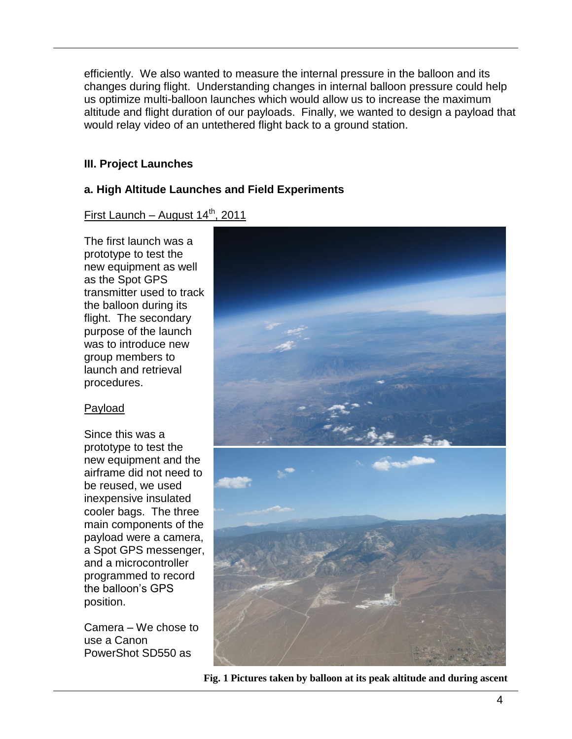efficiently. We also wanted to measure the internal pressure in the balloon and its changes during flight. Understanding changes in internal balloon pressure could help us optimize multi-balloon launches which would allow us to increase the maximum altitude and flight duration of our payloads. Finally, we wanted to design a payload that would relay video of an untethered flight back to a ground station.

#### **III. Project Launches**

#### **a. High Altitude Launches and Field Experiments**

First Launch – August  $14<sup>th</sup>$ , 2011

The first launch was a prototype to test the new equipment as well as the Spot GPS transmitter used to track the balloon during its flight. The secondary purpose of the launch was to introduce new group members to launch and retrieval procedures.

## Payload

Since this was a prototype to test the new equipment and the airframe did not need to be reused, we used inexpensive insulated cooler bags. The three main components of the payload were a camera, a Spot GPS messenger, and a microcontroller programmed to record the balloon's GPS position.

Camera – We chose to use a Canon PowerShot SD550 as



**Fig. 1 Pictures taken by balloon at its peak altitude and during ascent**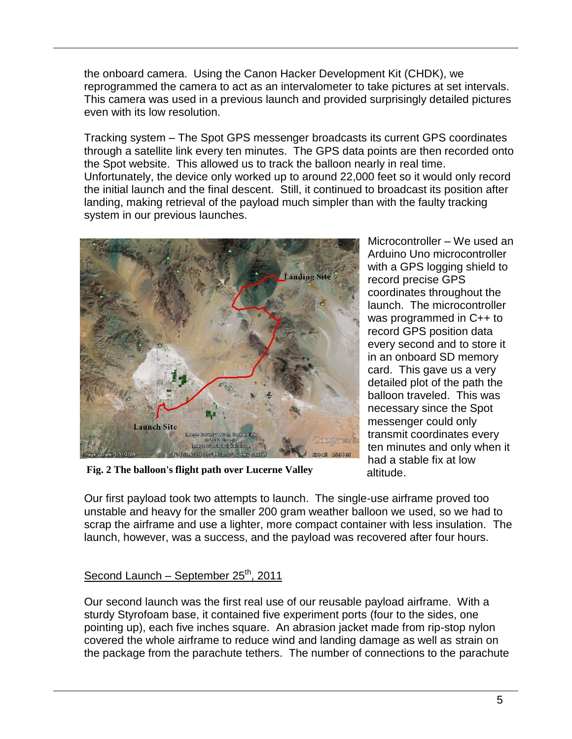the onboard camera. Using the Canon Hacker Development Kit (CHDK), we reprogrammed the camera to act as an intervalometer to take pictures at set intervals. This camera was used in a previous launch and provided surprisingly detailed pictures even with its low resolution.

Tracking system – The Spot GPS messenger broadcasts its current GPS coordinates through a satellite link every ten minutes. The GPS data points are then recorded onto the Spot website. This allowed us to track the balloon nearly in real time. Unfortunately, the device only worked up to around 22,000 feet so it would only record the initial launch and the final descent. Still, it continued to broadcast its position after landing, making retrieval of the payload much simpler than with the faulty tracking system in our previous launches.



**Fig. 2 The balloon's flight path over Lucerne Valley**

Microcontroller – We used an Arduino Uno microcontroller with a GPS logging shield to record precise GPS coordinates throughout the launch. The microcontroller was programmed in C++ to record GPS position data every second and to store it in an onboard SD memory card. This gave us a very detailed plot of the path the balloon traveled. This was necessary since the Spot messenger could only transmit coordinates every ten minutes and only when it had a stable fix at low altitude.

Our first payload took two attempts to launch. The single-use airframe proved too unstable and heavy for the smaller 200 gram weather balloon we used, so we had to scrap the airframe and use a lighter, more compact container with less insulation. The launch, however, was a success, and the payload was recovered after four hours.

## Second Launch – September  $25<sup>th</sup>$ , 2011

Our second launch was the first real use of our reusable payload airframe. With a sturdy Styrofoam base, it contained five experiment ports (four to the sides, one pointing up), each five inches square. An abrasion jacket made from rip-stop nylon covered the whole airframe to reduce wind and landing damage as well as strain on the package from the parachute tethers. The number of connections to the parachute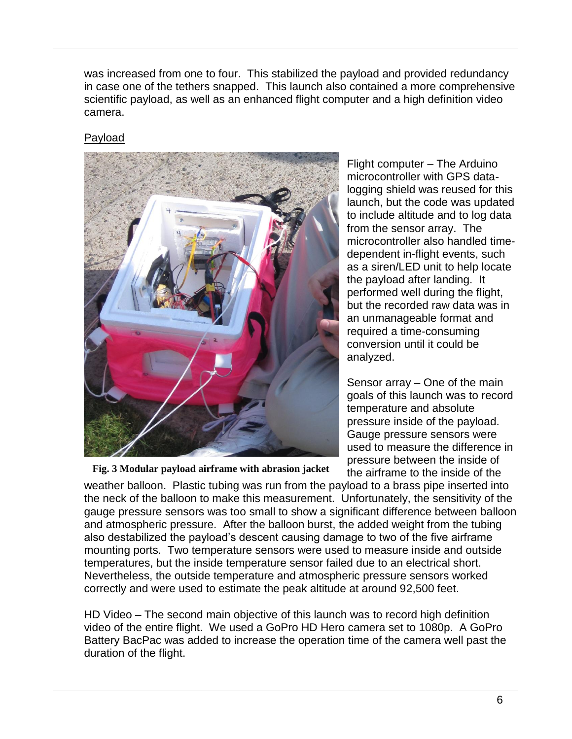was increased from one to four. This stabilized the payload and provided redundancy in case one of the tethers snapped. This launch also contained a more comprehensive scientific payload, as well as an enhanced flight computer and a high definition video camera.

## Payload

![](_page_5_Picture_2.jpeg)

**Fig. 3 Modular payload airframe with abrasion jacket**

Flight computer – The Arduino microcontroller with GPS datalogging shield was reused for this launch, but the code was updated to include altitude and to log data from the sensor array. The microcontroller also handled timedependent in-flight events, such as a siren/LED unit to help locate the payload after landing. It performed well during the flight, but the recorded raw data was in an unmanageable format and required a time-consuming conversion until it could be analyzed.

Sensor array – One of the main goals of this launch was to record temperature and absolute pressure inside of the payload. Gauge pressure sensors were used to measure the difference in pressure between the inside of the airframe to the inside of the

weather balloon. Plastic tubing was run from the payload to a brass pipe inserted into the neck of the balloon to make this measurement. Unfortunately, the sensitivity of the gauge pressure sensors was too small to show a significant difference between balloon and atmospheric pressure. After the balloon burst, the added weight from the tubing also destabilized the payload's descent causing damage to two of the five airframe mounting ports. Two temperature sensors were used to measure inside and outside temperatures, but the inside temperature sensor failed due to an electrical short. Nevertheless, the outside temperature and atmospheric pressure sensors worked correctly and were used to estimate the peak altitude at around 92,500 feet.

HD Video – The second main objective of this launch was to record high definition video of the entire flight. We used a GoPro HD Hero camera set to 1080p. A GoPro Battery BacPac was added to increase the operation time of the camera well past the duration of the flight.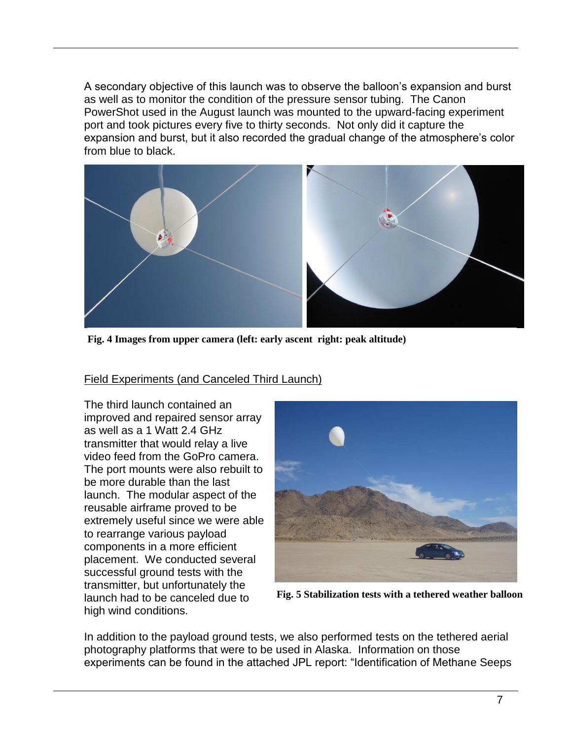A secondary objective of this launch was to observe the balloon's expansion and burst as well as to monitor the condition of the pressure sensor tubing. The Canon PowerShot used in the August launch was mounted to the upward-facing experiment port and took pictures every five to thirty seconds. Not only did it capture the expansion and burst, but it also recorded the gradual change of the atmosphere's color from blue to black.

![](_page_6_Picture_1.jpeg)

**Fig. 4 Images from upper camera (left: early ascent right: peak altitude)**

#### Field Experiments (and Canceled Third Launch)

The third launch contained an improved and repaired sensor array as well as a 1 Watt 2.4 GHz transmitter that would relay a live video feed from the GoPro camera. The port mounts were also rebuilt to be more durable than the last launch. The modular aspect of the reusable airframe proved to be extremely useful since we were able to rearrange various payload components in a more efficient placement. We conducted several successful ground tests with the transmitter, but unfortunately the launch had to be canceled due to high wind conditions.

![](_page_6_Picture_5.jpeg)

**Fig. 5 Stabilization tests with a tethered weather balloon**

In addition to the payload ground tests, we also performed tests on the tethered aerial photography platforms that were to be used in Alaska. Information on those experiments can be found in the attached JPL report: "Identification of Methane Seeps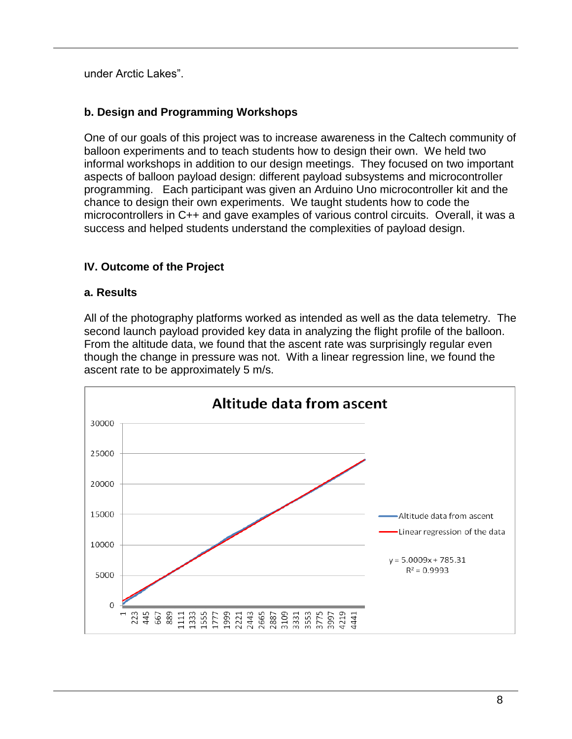under Arctic Lakes".

## **b. Design and Programming Workshops**

One of our goals of this project was to increase awareness in the Caltech community of balloon experiments and to teach students how to design their own. We held two informal workshops in addition to our design meetings. They focused on two important aspects of balloon payload design: different payload subsystems and microcontroller programming. Each participant was given an Arduino Uno microcontroller kit and the chance to design their own experiments. We taught students how to code the microcontrollers in C++ and gave examples of various control circuits. Overall, it was a success and helped students understand the complexities of payload design.

#### **IV. Outcome of the Project**

#### **a. Results**

All of the photography platforms worked as intended as well as the data telemetry. The second launch payload provided key data in analyzing the flight profile of the balloon. From the altitude data, we found that the ascent rate was surprisingly regular even though the change in pressure was not. With a linear regression line, we found the ascent rate to be approximately 5 m/s.

![](_page_7_Figure_6.jpeg)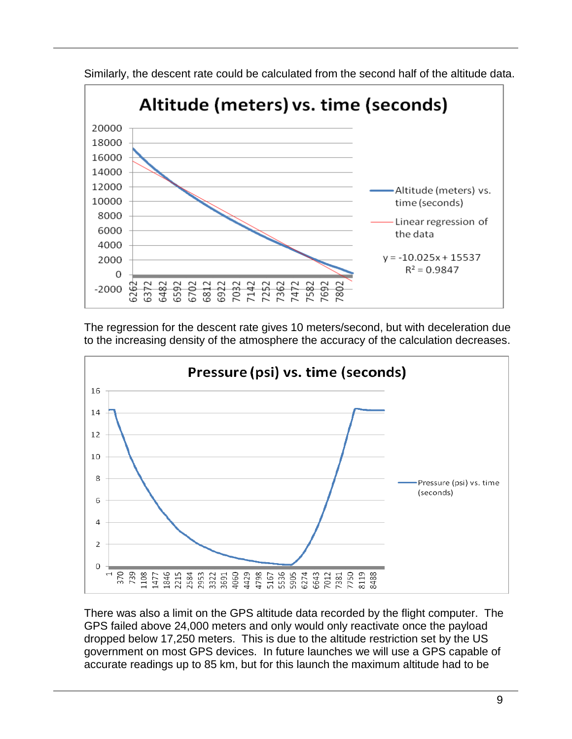![](_page_8_Figure_0.jpeg)

Similarly, the descent rate could be calculated from the second half of the altitude data.

The regression for the descent rate gives 10 meters/second, but with deceleration due to the increasing density of the atmosphere the accuracy of the calculation decreases.

![](_page_8_Figure_3.jpeg)

There was also a limit on the GPS altitude data recorded by the flight computer. The GPS failed above 24,000 meters and only would only reactivate once the payload dropped below 17,250 meters. This is due to the altitude restriction set by the US government on most GPS devices. In future launches we will use a GPS capable of accurate readings up to 85 km, but for this launch the maximum altitude had to be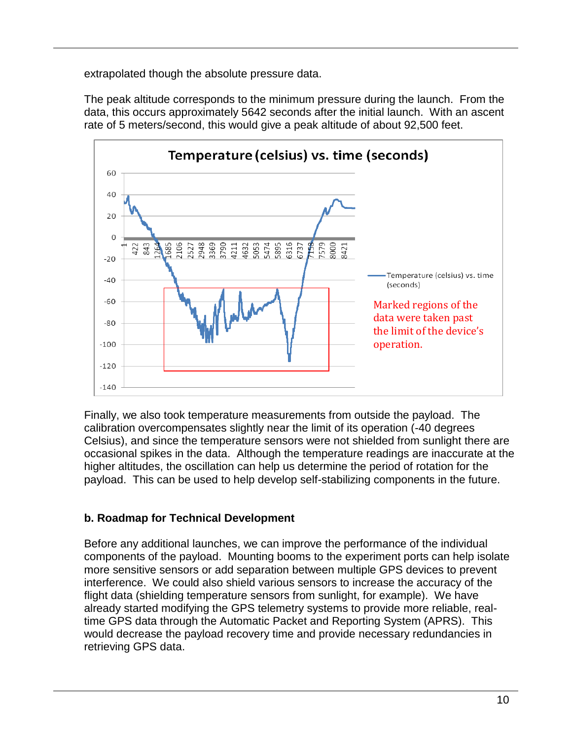extrapolated though the absolute pressure data.

The peak altitude corresponds to the minimum pressure during the launch. From the data, this occurs approximately 5642 seconds after the initial launch. With an ascent rate of 5 meters/second, this would give a peak altitude of about 92,500 feet.

![](_page_9_Figure_2.jpeg)

Finally, we also took temperature measurements from outside the payload. The calibration overcompensates slightly near the limit of its operation (-40 degrees Celsius), and since the temperature sensors were not shielded from sunlight there are occasional spikes in the data. Although the temperature readings are inaccurate at the higher altitudes, the oscillation can help us determine the period of rotation for the payload. This can be used to help develop self-stabilizing components in the future.

## **b. Roadmap for Technical Development**

Before any additional launches, we can improve the performance of the individual components of the payload. Mounting booms to the experiment ports can help isolate more sensitive sensors or add separation between multiple GPS devices to prevent interference. We could also shield various sensors to increase the accuracy of the flight data (shielding temperature sensors from sunlight, for example). We have already started modifying the GPS telemetry systems to provide more reliable, realtime GPS data through the Automatic Packet and Reporting System (APRS). This would decrease the payload recovery time and provide necessary redundancies in retrieving GPS data.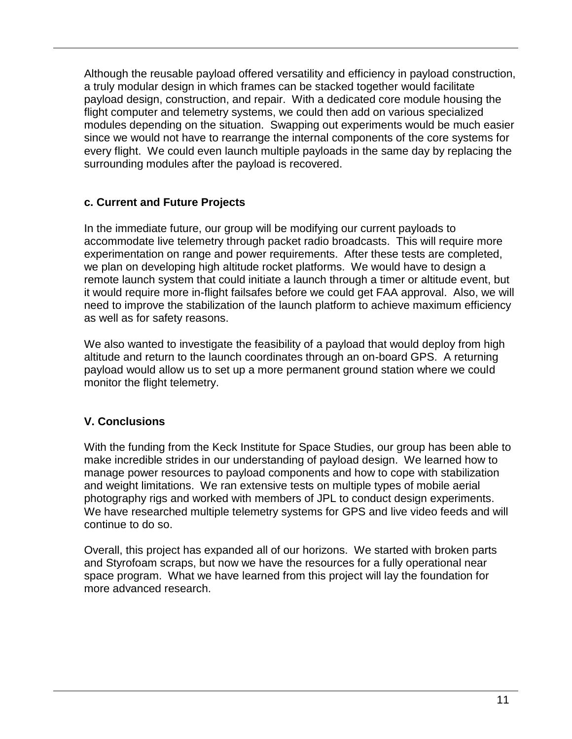Although the reusable payload offered versatility and efficiency in payload construction, a truly modular design in which frames can be stacked together would facilitate payload design, construction, and repair. With a dedicated core module housing the flight computer and telemetry systems, we could then add on various specialized modules depending on the situation. Swapping out experiments would be much easier since we would not have to rearrange the internal components of the core systems for every flight. We could even launch multiple payloads in the same day by replacing the surrounding modules after the payload is recovered.

#### **c. Current and Future Projects**

In the immediate future, our group will be modifying our current payloads to accommodate live telemetry through packet radio broadcasts. This will require more experimentation on range and power requirements. After these tests are completed, we plan on developing high altitude rocket platforms. We would have to design a remote launch system that could initiate a launch through a timer or altitude event, but it would require more in-flight failsafes before we could get FAA approval. Also, we will need to improve the stabilization of the launch platform to achieve maximum efficiency as well as for safety reasons.

We also wanted to investigate the feasibility of a payload that would deploy from high altitude and return to the launch coordinates through an on-board GPS. A returning payload would allow us to set up a more permanent ground station where we could monitor the flight telemetry.

## **V. Conclusions**

With the funding from the Keck Institute for Space Studies, our group has been able to make incredible strides in our understanding of payload design. We learned how to manage power resources to payload components and how to cope with stabilization and weight limitations. We ran extensive tests on multiple types of mobile aerial photography rigs and worked with members of JPL to conduct design experiments. We have researched multiple telemetry systems for GPS and live video feeds and will continue to do so.

Overall, this project has expanded all of our horizons. We started with broken parts and Styrofoam scraps, but now we have the resources for a fully operational near space program. What we have learned from this project will lay the foundation for more advanced research.